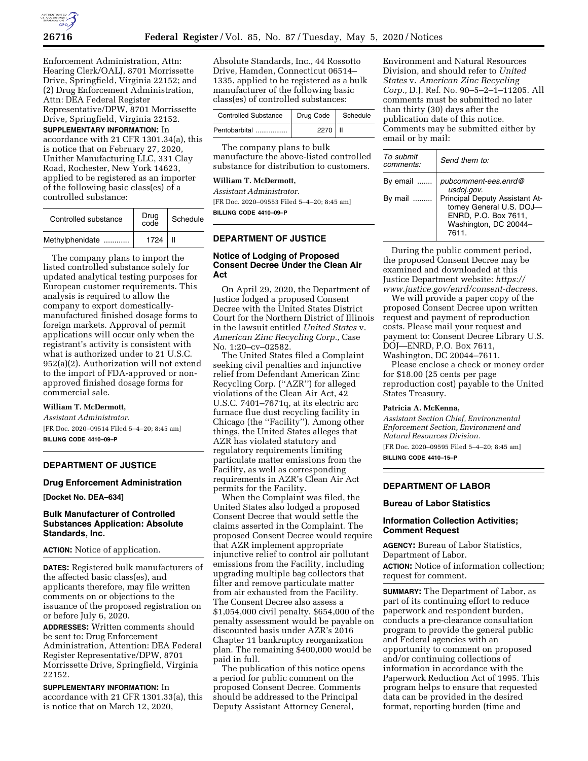

Enforcement Administration, Attn: Hearing Clerk/OALJ, 8701 Morrissette Drive, Springfield, Virginia 22152; and (2) Drug Enforcement Administration, Attn: DEA Federal Register Representative/DPW, 8701 Morrissette Drive, Springfield, Virginia 22152.

**SUPPLEMENTARY INFORMATION:** In accordance with 21 CFR 1301.34(a), this is notice that on February 27, 2020, Unither Manufacturing LLC, 331 Clay Road, Rochester, New York 14623, applied to be registered as an importer of the following basic class(es) of a controlled substance:

| Controlled substance | Drug<br>code | Schedule |
|----------------------|--------------|----------|
| Methylphenidate      | 1724         |          |

The company plans to import the listed controlled substance solely for updated analytical testing purposes for European customer requirements. This analysis is required to allow the company to export domesticallymanufactured finished dosage forms to foreign markets. Approval of permit applications will occur only when the registrant's activity is consistent with what is authorized under to 21 U.S.C. 952(a)(2). Authorization will not extend to the import of FDA-approved or nonapproved finished dosage forms for commercial sale.

### **William T. McDermott,**

*Assistant Administrator.*  [FR Doc. 2020–09514 Filed 5–4–20; 8:45 am] **BILLING CODE 4410–09–P** 

## **DEPARTMENT OF JUSTICE**

### **Drug Enforcement Administration**

**[Docket No. DEA–634]** 

## **Bulk Manufacturer of Controlled Substances Application: Absolute Standards, Inc.**

### **ACTION:** Notice of application.

**DATES:** Registered bulk manufacturers of the affected basic class(es), and applicants therefore, may file written comments on or objections to the issuance of the proposed registration on or before July 6, 2020.

**ADDRESSES:** Written comments should be sent to: Drug Enforcement Administration, Attention: DEA Federal Register Representative/DPW, 8701 Morrissette Drive, Springfield, Virginia 22152.

**SUPPLEMENTARY INFORMATION:** In accordance with 21 CFR 1301.33(a), this is notice that on March 12, 2020,

Absolute Standards, Inc., 44 Rossotto Drive, Hamden, Connecticut 06514– 1335, applied to be registered as a bulk manufacturer of the following basic class(es) of controlled substances:

| <b>Controlled Substance</b> | Drug Code | Schedule |
|-----------------------------|-----------|----------|
| Pentobarbital               | 2270   II |          |

The company plans to bulk manufacture the above-listed controlled substance for distribution to customers.

## **William T. McDermott,**

*Assistant Administrator.*  [FR Doc. 2020–09553 Filed 5–4–20; 8:45 am] **BILLING CODE 4410–09–P** 

# **DEPARTMENT OF JUSTICE**

## **Notice of Lodging of Proposed Consent Decree Under the Clean Air Act**

On April 29, 2020, the Department of Justice lodged a proposed Consent Decree with the United States District Court for the Northern District of Illinois in the lawsuit entitled *United States* v. *American Zinc Recycling Corp.,* Case No. 1:20–cv–02582.

The United States filed a Complaint seeking civil penalties and injunctive relief from Defendant American Zinc Recycling Corp. (''AZR'') for alleged violations of the Clean Air Act, 42 U.S.C. 7401–7671q, at its electric arc furnace flue dust recycling facility in Chicago (the ''Facility''). Among other things, the United States alleges that AZR has violated statutory and regulatory requirements limiting particulate matter emissions from the Facility, as well as corresponding requirements in AZR's Clean Air Act permits for the Facility.

When the Complaint was filed, the United States also lodged a proposed Consent Decree that would settle the claims asserted in the Complaint. The proposed Consent Decree would require that AZR implement appropriate injunctive relief to control air pollutant emissions from the Facility, including upgrading multiple bag collectors that filter and remove particulate matter from air exhausted from the Facility. The Consent Decree also assess a \$1,054,000 civil penalty. \$654,000 of the penalty assessment would be payable on discounted basis under AZR's 2016 Chapter 11 bankruptcy reorganization plan. The remaining \$400,000 would be paid in full.

The publication of this notice opens a period for public comment on the proposed Consent Decree. Comments should be addressed to the Principal Deputy Assistant Attorney General,

Environment and Natural Resources Division, and should refer to *United States* v. *American Zinc Recycling Corp.,* D.J. Ref. No. 90–5–2–1–11205. All comments must be submitted no later than thirty (30) days after the publication date of this notice. Comments may be submitted either by email or by mail:

| To submit<br>comments: | Send them to:                                                                                                       |
|------------------------|---------------------------------------------------------------------------------------------------------------------|
| By email               | pubcomment-ees.enrd@<br>usdoj.gov.                                                                                  |
| By mail                | Principal Deputy Assistant At-<br>torney General U.S. DOJ-<br>ENRD, P.O. Box 7611,<br>Washington, DC 20044-<br>7611 |

During the public comment period, the proposed Consent Decree may be examined and downloaded at this Justice Department website: *[https://](https://www.justice.gov/enrd/consent-decrees) [www.justice.gov/enrd/consent-decrees.](https://www.justice.gov/enrd/consent-decrees)* 

We will provide a paper copy of the proposed Consent Decree upon written request and payment of reproduction costs. Please mail your request and payment to: Consent Decree Library U.S. DOJ—ENRD, P.O. Box 7611, Washington, DC 20044–7611.

Please enclose a check or money order for \$18.00 (25 cents per page reproduction cost) payable to the United States Treasury.

#### **Patricia A. McKenna,**

*Assistant Section Chief, Environmental Enforcement Section, Environment and Natural Resources Division.* 

[FR Doc. 2020–09595 Filed 5–4–20; 8:45 am]

**BILLING CODE 4410–15–P** 

## **DEPARTMENT OF LABOR**

#### **Bureau of Labor Statistics**

## **Information Collection Activities; Comment Request**

**AGENCY:** Bureau of Labor Statistics, Department of Labor.

**ACTION:** Notice of information collection; request for comment.

**SUMMARY:** The Department of Labor, as part of its continuing effort to reduce paperwork and respondent burden, conducts a pre-clearance consultation program to provide the general public and Federal agencies with an opportunity to comment on proposed and/or continuing collections of information in accordance with the Paperwork Reduction Act of 1995. This program helps to ensure that requested data can be provided in the desired format, reporting burden (time and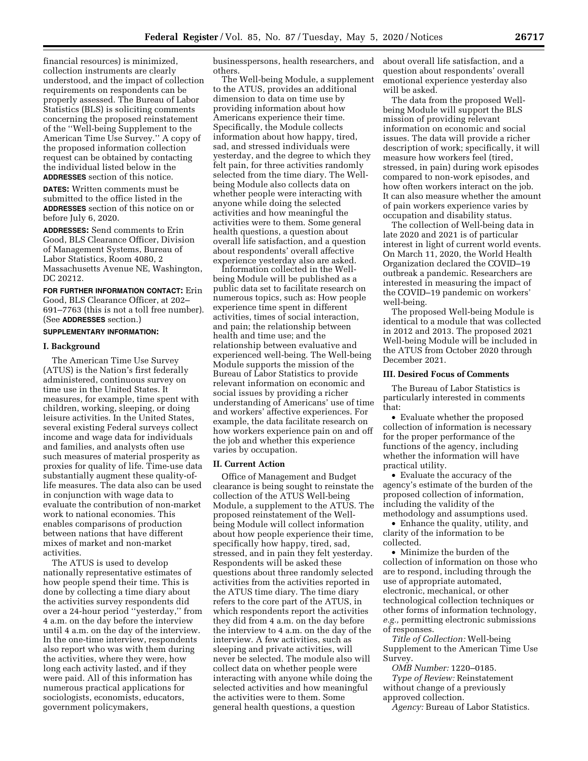financial resources) is minimized, collection instruments are clearly understood, and the impact of collection requirements on respondents can be properly assessed. The Bureau of Labor Statistics (BLS) is soliciting comments concerning the proposed reinstatement of the ''Well-being Supplement to the American Time Use Survey.'' A copy of the proposed information collection request can be obtained by contacting the individual listed below in the **ADDRESSES** section of this notice.

**DATES:** Written comments must be submitted to the office listed in the **ADDRESSES** section of this notice on or before July 6, 2020.

**ADDRESSES:** Send comments to Erin Good, BLS Clearance Officer, Division of Management Systems, Bureau of Labor Statistics, Room 4080, 2 Massachusetts Avenue NE, Washington, DC 20212.

**FOR FURTHER INFORMATION CONTACT:** Erin Good, BLS Clearance Officer, at 202– 691–7763 (this is not a toll free number). (See **ADDRESSES** section.)

# **SUPPLEMENTARY INFORMATION:**

## **I. Background**

The American Time Use Survey (ATUS) is the Nation's first federally administered, continuous survey on time use in the United States. It measures, for example, time spent with children, working, sleeping, or doing leisure activities. In the United States, several existing Federal surveys collect income and wage data for individuals and families, and analysts often use such measures of material prosperity as proxies for quality of life. Time-use data substantially augment these quality-oflife measures. The data also can be used in conjunction with wage data to evaluate the contribution of non-market work to national economies. This enables comparisons of production between nations that have different mixes of market and non-market activities.

The ATUS is used to develop nationally representative estimates of how people spend their time. This is done by collecting a time diary about the activities survey respondents did over a 24-hour period ''yesterday,'' from 4 a.m. on the day before the interview until 4 a.m. on the day of the interview. In the one-time interview, respondents also report who was with them during the activities, where they were, how long each activity lasted, and if they were paid. All of this information has numerous practical applications for sociologists, economists, educators, government policymakers,

businesspersons, health researchers, and others.

The Well-being Module, a supplement to the ATUS, provides an additional dimension to data on time use by providing information about how Americans experience their time. Specifically, the Module collects information about how happy, tired, sad, and stressed individuals were yesterday, and the degree to which they felt pain, for three activities randomly selected from the time diary. The Wellbeing Module also collects data on whether people were interacting with anyone while doing the selected activities and how meaningful the activities were to them. Some general health questions, a question about overall life satisfaction, and a question about respondents' overall affective experience yesterday also are asked.

Information collected in the Wellbeing Module will be published as a public data set to facilitate research on numerous topics, such as: How people experience time spent in different activities, times of social interaction, and pain; the relationship between health and time use; and the relationship between evaluative and experienced well-being. The Well-being Module supports the mission of the Bureau of Labor Statistics to provide relevant information on economic and social issues by providing a richer understanding of Americans' use of time and workers' affective experiences. For example, the data facilitate research on how workers experience pain on and off the job and whether this experience varies by occupation.

#### **II. Current Action**

Office of Management and Budget clearance is being sought to reinstate the collection of the ATUS Well-being Module, a supplement to the ATUS. The proposed reinstatement of the Wellbeing Module will collect information about how people experience their time, specifically how happy, tired, sad, stressed, and in pain they felt yesterday. Respondents will be asked these questions about three randomly selected activities from the activities reported in the ATUS time diary. The time diary refers to the core part of the ATUS, in which respondents report the activities they did from 4 a.m. on the day before the interview to 4 a.m. on the day of the interview. A few activities, such as sleeping and private activities, will never be selected. The module also will collect data on whether people were interacting with anyone while doing the selected activities and how meaningful the activities were to them. Some general health questions, a question

about overall life satisfaction, and a question about respondents' overall emotional experience yesterday also will be asked.

The data from the proposed Wellbeing Module will support the BLS mission of providing relevant information on economic and social issues. The data will provide a richer description of work; specifically, it will measure how workers feel (tired, stressed, in pain) during work episodes compared to non-work episodes, and how often workers interact on the job. It can also measure whether the amount of pain workers experience varies by occupation and disability status.

The collection of Well-being data in late 2020 and 2021 is of particular interest in light of current world events. On March 11, 2020, the World Health Organization declared the COVID–19 outbreak a pandemic. Researchers are interested in measuring the impact of the COVID–19 pandemic on workers' well-being.

The proposed Well-being Module is identical to a module that was collected in 2012 and 2013. The proposed 2021 Well-being Module will be included in the ATUS from October 2020 through December 2021.

### **III. Desired Focus of Comments**

The Bureau of Labor Statistics is particularly interested in comments that:

• Evaluate whether the proposed collection of information is necessary for the proper performance of the functions of the agency, including whether the information will have practical utility.

• Evaluate the accuracy of the agency's estimate of the burden of the proposed collection of information, including the validity of the methodology and assumptions used.

• Enhance the quality, utility, and clarity of the information to be collected.

• Minimize the burden of the collection of information on those who are to respond, including through the use of appropriate automated, electronic, mechanical, or other technological collection techniques or other forms of information technology, *e.g.,* permitting electronic submissions of responses.

*Title of Collection:* Well-being Supplement to the American Time Use Survey.

*OMB Number:* 1220–0185. *Type of Review:* Reinstatement without change of a previously approved collection.

*Agency:* Bureau of Labor Statistics.